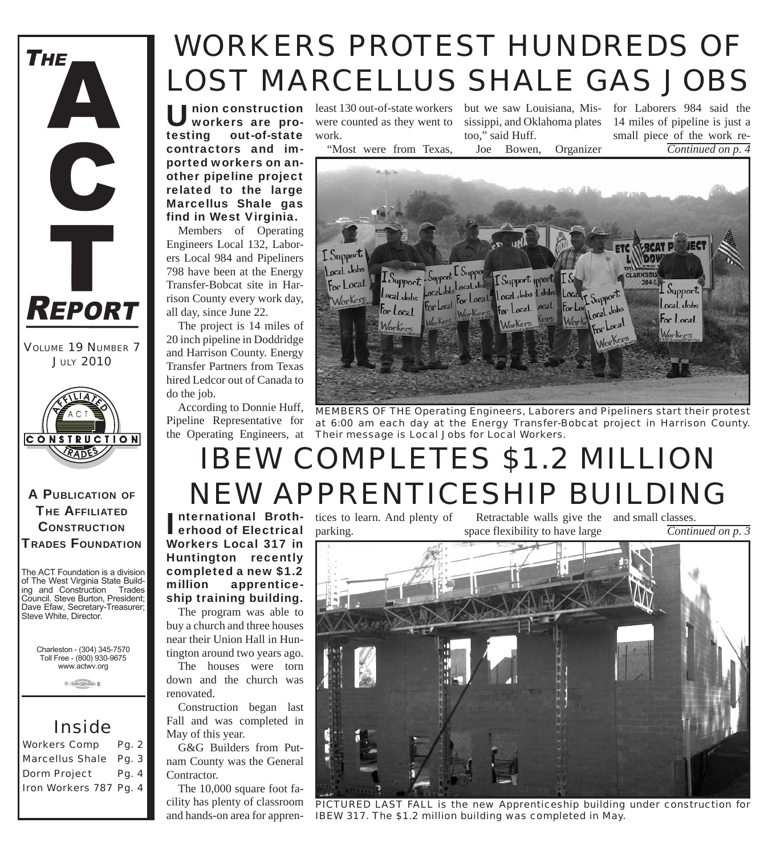**THE** A C T **REPORT** 

*VOLUME 19 NUMBER 7 JULY 2010*



A PUBLICATION OF **THE AFFILIATED CONSTRUCTION** TRADES FOUNDATION

The ACT Foundation is a division of The West Virginia State Building and Construction Trades Council. Steve Burton, President; Dave Efaw, Secretary-Treasurer; Steve White, Director.

Charleston - (304) 345-7570 Toll Free - (800) 930-9675 www.actwv.org

 $A$  (TADES  $\frac{\text{maximize}}{\text{maximize}}$  6

### *Inside*

*Workers Comp Pg. 2 Marcellus Shale Pg. 3 Dorm Project Pg. 4 Iron Workers 787 Pg. 4*

# *WORKERS PROTEST HUNDREDS OF LOST MARCELLUS SHALE GAS JOBS*

workers are protesting out-of-state contractors and imported workers on another pipeline project related to the large Marcellus Shale gas find in West Virginia.

Members of Operating Engineers Local 132, Laborers Local 984 and Pipeliners 798 have been at the Energy Transfer-Bobcat site in Harrison County every work day, all day, since June 22.

The project is 14 miles of 20 inch pipeline in Doddridge and Harrison County. Energy Transfer Partners from Texas hired Ledcor out of Canada to do the job.

According to Donnie Huff, Pipeline Representative for the Operating Engineers, at

erhood of Electrical

million apprenticeship training building. The program was able to

near their Union Hall in Hun-

down and the church was

Fall and was completed in

G&G Builders from Putnam County was the General

The 10,000 square foot fa-

renovated.

Contractor.

May of this year.

I

**Union construction** least 130 out-of-state workers<br> **WORERS are pro-** were counted as they went to were counted as they went to work.

"Most were from Texas,

but we saw Louisiana, Mississippi, and Oklahoma plates too," said Huff. Joe Bowen, Organizer

for Laborers 984 said the 14 miles of pipeline is just a small piece of the work re-*Continued on p. 4*



*MEMBERS OF THE Operating Engineers, Laborers and Pipeliners start their protest at 6:00 am each day at the Energy Transfer-Bobcat project in Harrison County. Their message is Local Jobs for Local Workers.*

# *IBEW COMPLETES \$1.2 MILLION NEW APPRENTICESHIP BUILDING*

**nternational Broth-** tices to learn. And plenty of parking.

Retractable walls give the and small classes. space flexibility to have large

*Continued on p. 3*



cility has plenty of classroom and hands-on area for appren-*PICTURED LAST FALL is the new Apprenticeship building under construction for IBEW 317. The \$1.2 million building was completed in May.*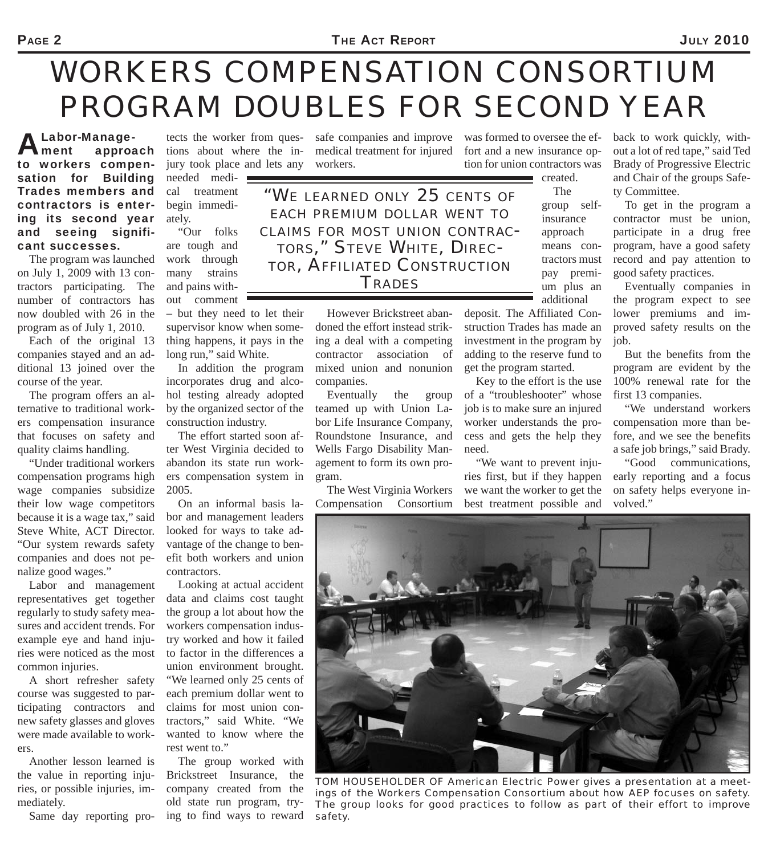## *WORKERS COMPENSATION CONSORTIUM PROGRAM DOUBLES FOR SECOND YEAR*

Labor-Manage-<br>Ament approa approach to workers compensation for Building Trades members and contractors is entering its second year and seeing significant successes.

The program was launched on July 1, 2009 with 13 contractors participating. The number of contractors has now doubled with 26 in the program as of July 1, 2010.

Each of the original 13 companies stayed and an additional 13 joined over the course of the year.

The program offers an alternative to traditional workers compensation insurance that focuses on safety and quality claims handling.

"Under traditional workers compensation programs high wage companies subsidize their low wage competitors because it is a wage tax," said Steve White, ACT Director. "Our system rewards safety companies and does not penalize good wages."

Labor and management representatives get together regularly to study safety measures and accident trends. For example eye and hand injuries were noticed as the most common injuries.

A short refresher safety course was suggested to participating contractors and new safety glasses and gloves were made available to workers.

Another lesson learned is the value in reporting injuries, or possible injuries, immediately.

Same day reporting pro-

tions about where the injury took place and lets any needed medical treatment begin immediately.

"Our folks are tough and work through many strains and pains without comment

– but they need to let their supervisor know when something happens, it pays in the long run," said White.

In addition the program incorporates drug and alcohol testing already adopted by the organized sector of the construction industry.

The effort started soon after West Virginia decided to abandon its state run workers compensation system in 2005.

On an informal basis labor and management leaders looked for ways to take advantage of the change to benefit both workers and union contractors.

Looking at actual accident data and claims cost taught the group a lot about how the workers compensation industry worked and how it failed to factor in the differences a union environment brought. "We learned only 25 cents of each premium dollar went to claims for most union contractors," said White. "We wanted to know where the rest went to."

The group worked with Brickstreet Insurance, the company created from the old state run program, trying to find ways to reward

tects the worker from quessafe companies and improve medical treatment for injured workers.

> *"WE LEARNED ONLY 25 CENTS OF EACH PREMIUM DOLLAR WENT TO CLAIMS FOR MOST UNION CONTRAC-TORS," STEVE WHITE, DIREC-TOR, AFFILIATED CONSTRUCTION TRADES*

> > However Brickstreet abandoned the effort instead striking a deal with a competing contractor association of mixed union and nonunion companies.

> > Eventually the group teamed up with Union Labor Life Insurance Company, Roundstone Insurance, and Wells Fargo Disability Management to form its own program.

> > The West Virginia Workers Compensation Consortium

was formed to oversee the effort and a new insurance option for union contractors was

The group selfinsurance approach means contractors must pay premium plus an

created.

additional deposit. The Affiliated Construction Trades has made an investment in the program by adding to the reserve fund to get the program started.

Key to the effort is the use of a "troubleshooter" whose job is to make sure an injured worker understands the process and gets the help they need.

"We want to prevent injuries first, but if they happen we want the worker to get the best treatment possible and

back to work quickly, without a lot of red tape," said Ted Brady of Progressive Electric and Chair of the groups Safety Committee.

To get in the program a contractor must be union, participate in a drug free program, have a good safety record and pay attention to good safety practices.

Eventually companies in the program expect to see lower premiums and improved safety results on the job.

But the benefits from the program are evident by the 100% renewal rate for the first 13 companies.

"We understand workers compensation more than before, and we see the benefits a safe job brings," said Brady.

"Good communications, early reporting and a focus on safety helps everyone involved."



*TOM HOUSEHOLDER OF American Electric Power gives a presentation at a meetings of the Workers Compensation Consortium about how AEP focuses on safety. The group looks for good practices to follow as part of their effort to improve safety.*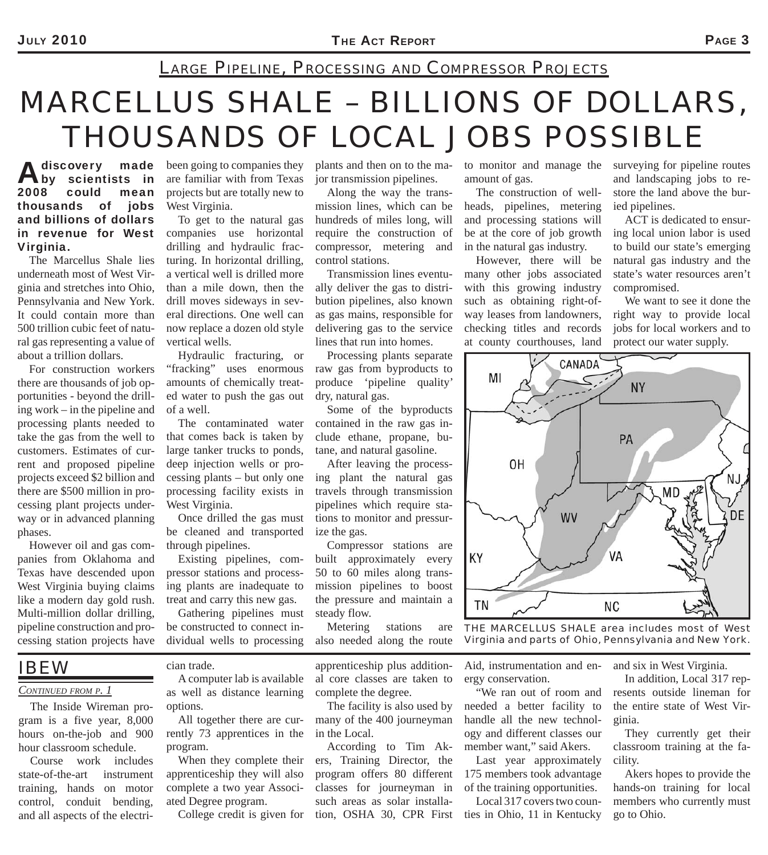### *LARGE PIPELINE, PROCESSING AND COMPRESSOR PROJECTS*

## *MARCELLUS SHALE – BILLIONS OF DOLLARS, THOUSANDS OF LOCAL JOBS POSSIBLE*

#### A discovery made<br>
by scientists in 2008 could mean thousands of jobs and billions of dollars in revenue for West Virginia.

The Marcellus Shale lies underneath most of West Virginia and stretches into Ohio, Pennsylvania and New York. It could contain more than 500 trillion cubic feet of natural gas representing a value of about a trillion dollars.

For construction workers there are thousands of job opportunities - beyond the drilling work – in the pipeline and processing plants needed to take the gas from the well to customers. Estimates of current and proposed pipeline projects exceed \$2 billion and there are \$500 million in processing plant projects underway or in advanced planning phases.

However oil and gas companies from Oklahoma and Texas have descended upon West Virginia buying claims like a modern day gold rush. Multi-million dollar drilling, pipeline construction and processing station projects have

### *IBEW*

#### *CONTINUED FROM P. 1*

The Inside Wireman program is a five year, 8,000 hours on-the-job and 900 hour classroom schedule.

Course work includes state-of-the-art instrument training, hands on motor control, conduit bending, and all aspects of the electribeen going to companies they are familiar with from Texas projects but are totally new to West Virginia.

To get to the natural gas companies use horizontal drilling and hydraulic fracturing. In horizontal drilling, a vertical well is drilled more than a mile down, then the drill moves sideways in several directions. One well can now replace a dozen old style vertical wells.

Hydraulic fracturing, or "fracking" uses enormous amounts of chemically treated water to push the gas out of a well.

The contaminated water that comes back is taken by large tanker trucks to ponds, deep injection wells or processing plants – but only one processing facility exists in West Virginia.

Once drilled the gas must be cleaned and transported through pipelines.

Existing pipelines, compressor stations and processing plants are inadequate to treat and carry this new gas.

Gathering pipelines must be constructed to connect individual wells to processing

cian trade.

A computer lab is available as well as distance learning options.

All together there are currently 73 apprentices in the program.

When they complete their apprenticeship they will also complete a two year Associated Degree program.

College credit is given for

plants and then on to the major transmission pipelines.

Along the way the transmission lines, which can be hundreds of miles long, will require the construction of compressor, metering and control stations.

Transmission lines eventually deliver the gas to distribution pipelines, also known as gas mains, responsible for delivering gas to the service lines that run into homes.

Processing plants separate raw gas from byproducts to produce 'pipeline quality' dry, natural gas.

Some of the byproducts contained in the raw gas include ethane, propane, butane, and natural gasoline.

After leaving the processing plant the natural gas travels through transmission pipelines which require stations to monitor and pressurize the gas.

Compressor stations are built approximately every 50 to 60 miles along transmission pipelines to boost the pressure and maintain a steady flow.

Metering stations are also needed along the route

apprenticeship plus additional core classes are taken to complete the degree.

The facility is also used by many of the 400 journeyman in the Local.

According to Tim Akers, Training Director, the program offers 80 different classes for journeyman in such areas as solar installation, OSHA 30, CPR First to monitor and manage the amount of gas.

The construction of wellheads, pipelines, metering and processing stations will be at the core of job growth in the natural gas industry.

However, there will be many other jobs associated with this growing industry such as obtaining right-ofway leases from landowners, checking titles and records at county courthouses, land

surveying for pipeline routes and landscaping jobs to restore the land above the buried pipelines.

ACT is dedicated to ensuring local union labor is used to build our state's emerging natural gas industry and the state's water resources aren't compromised.

We want to see it done the right way to provide local jobs for local workers and to protect our water supply.



*THE MARCELLUS SHALE area includes most of West Virginia and parts of Ohio, Pennsylvania and New York.*

Aid, instrumentation and energy conservation.

"We ran out of room and needed a better facility to handle all the new technology and different classes our member want," said Akers.

Last year approximately 175 members took advantage of the training opportunities.

Local 317 covers two counties in Ohio, 11 in Kentucky and six in West Virginia.

In addition, Local 317 represents outside lineman for the entire state of West Virginia.

They currently get their classroom training at the facility.

Akers hopes to provide the hands-on training for local members who currently must go to Ohio.